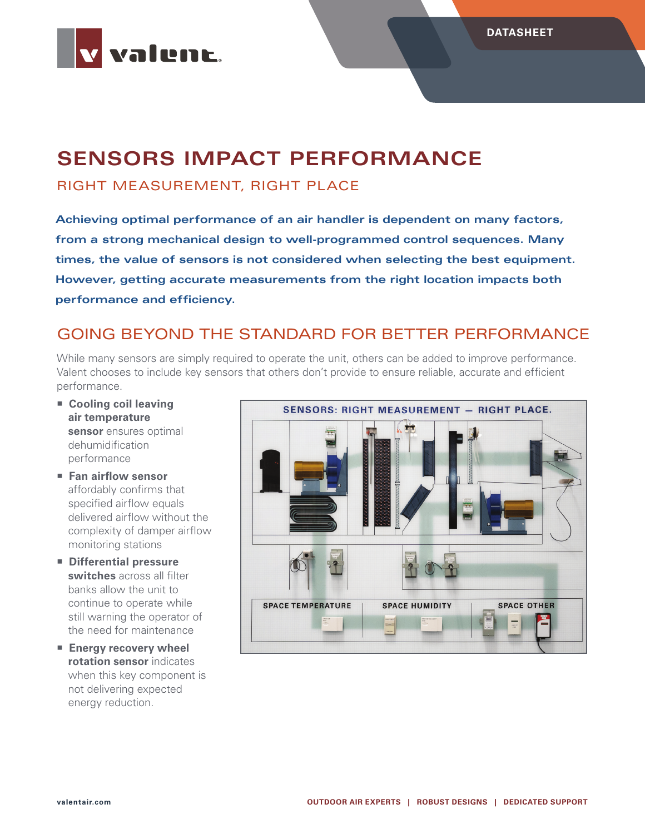

# **SENSORS IMPACT PERFORMANCE**

#### RIGHT MEASUREMENT, RIGHT PLACE

**Achieving optimal performance of an air handler is dependent on many factors, from a strong mechanical design to well-programmed control sequences. Many times, the value of sensors is not considered when selecting the best equipment. However, getting accurate measurements from the right location impacts both performance and efficiency.**

#### GOING BEYOND THE STANDARD FOR BETTER PERFORMANCE

While many sensors are simply required to operate the unit, others can be added to improve performance. Valent chooses to include key sensors that others don't provide to ensure reliable, accurate and efficient performance.

- **Cooling coil leaving air temperature sensor** ensures optimal dehumidification performance
- **Fan airflow sensor** affordably confirms that specified airflow equals delivered airflow without the complexity of damper airflow monitoring stations
- **Differential pressure switches** across all filter banks allow the unit to continue to operate while still warning the operator of the need for maintenance
- **Energy recovery wheel rotation sensor** indicates when this key component is not delivering expected energy reduction.

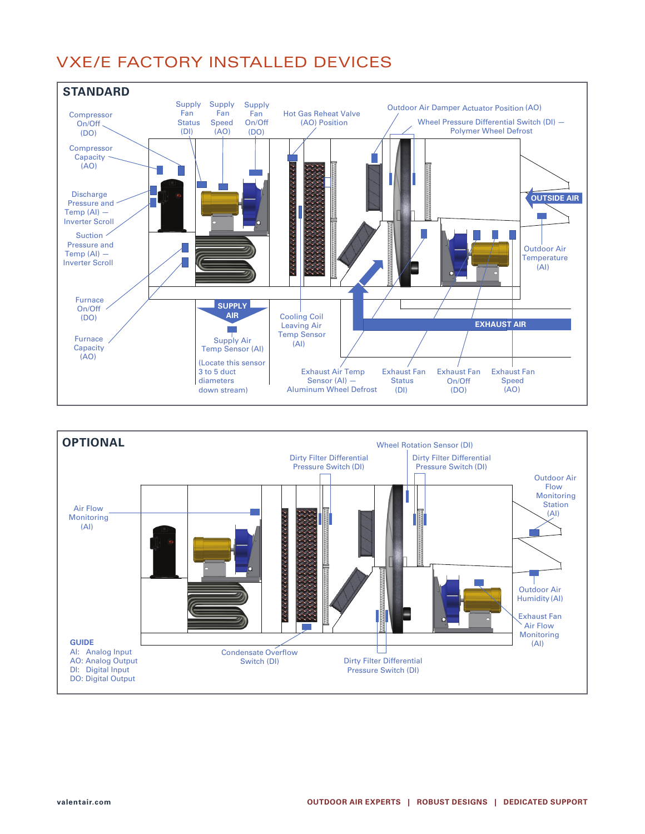### VXE/E FACTORY INSTALLED DEVICES